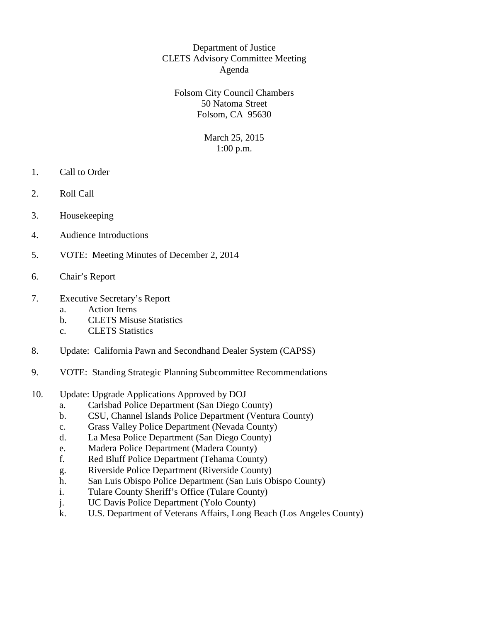## Department of Justice CLETS Advisory Committee Meeting Agenda

Folsom City Council Chambers 50 Natoma Street Folsom, CA 95630

> March 25, 2015 1:00 p.m.

- 1. Call to Order
- 2. Roll Call
- 3. Housekeeping
- 4. Audience Introductions
- 5. VOTE: Meeting Minutes of December 2, 2014
- 6. Chair's Report
- 7. Executive Secretary's Report a. Action Items
	-
	- b. CLETS Misuse Statistics
	- c. CLETS Statistics
- 8. Update: California Pawn and Secondhand Dealer System (CAPSS)
- 9. VOTE: Standing Strategic Planning Subcommittee Recommendations
- 10. Update: Upgrade Applications Approved by DOJ
	- a. Carlsbad Police Department (San Diego County)
	- b. CSU, Channel Islands Police Department (Ventura County)
	- c. Grass Valley Police Department (Nevada County)
	- d. La Mesa Police Department (San Diego County)
	- e. Madera Police Department (Madera County)
	- f. Red Bluff Police Department (Tehama County)
	- g. Riverside Police Department (Riverside County)
	- h. San Luis Obispo Police Department (San Luis Obispo County)
	- i. Tulare County Sheriff's Office (Tulare County)
	- j. UC Davis Police Department (Yolo County)
	- k. U.S. Department of Veterans Affairs, Long Beach (Los Angeles County)